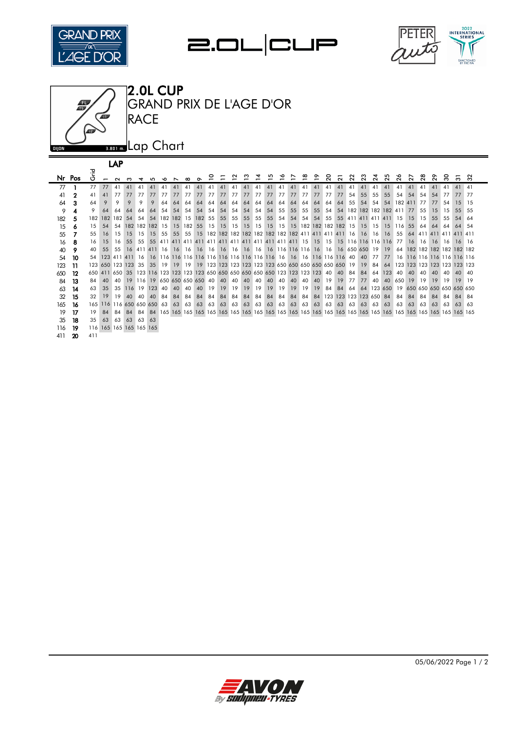







|     |        |        |                | LAP     |     |                              |            |    |         |     |            |    |    |    |                                                                                |                 |    |    |    |    |                          |    |                |    |                             |           |        |             |                             |        |        |                        |        |        |
|-----|--------|--------|----------------|---------|-----|------------------------------|------------|----|---------|-----|------------|----|----|----|--------------------------------------------------------------------------------|-----------------|----|----|----|----|--------------------------|----|----------------|----|-----------------------------|-----------|--------|-------------|-----------------------------|--------|--------|------------------------|--------|--------|
|     | Nr Pos | 곧<br>O | $\overline{ }$ | $\sim$  |     |                              |            |    |         | ന   | $\sim$     |    |    | ึ  |                                                                                |                 |    |    |    |    | $\overline{\phantom{0}}$ | ຊ  | $\overline{N}$ | 22 | ಔ                           | $\alpha$  | $\sim$ | ∾<br>$\sim$ | $\sim$                      | $\sim$ | $\sim$ | ຂ                      | $\sim$ | ึ<br>ო |
| 77  |        | 77     | 77             | 41      | 41  |                              |            |    |         |     |            |    |    |    |                                                                                |                 |    |    |    |    |                          |    | 41             |    | 41                          | 41        | 41     | 41          | 41                          | 41     | 41     | 41                     | 41     | 41     |
| 41  | 2      | 41     | 41             | 77      | 77  | 77                           | 77         | 77 | 77      | 77  | 77         | 77 | 77 | 77 | 77                                                                             | 77              | 77 | 77 | 77 | 77 | 77                       | 77 | 77             | 54 | 55                          | 55        | 55     | 54          | 54                          | 54     | 54     | 77                     | 77     | 77     |
| 64  | 3      | 64     | 9              | 9       | 9   | 9                            | 9          | 64 | 64      | 64  | 64         | 64 | 64 | 64 | 64                                                                             | 64              | 64 | 64 | 64 | 64 | 64                       | 64 | 64             | 55 | 54                          | 54        | 54     |             | 182 411                     | 77     | 77     | 54                     | 15     | -15    |
| 9   | 4      | 9      | -64            | 64      | 64  | 64                           | 64         | 54 | 54      | 54  | 54         | 54 | 54 | 54 | 54                                                                             | 54              | 54 | 55 | 55 | 55 | 55                       | 54 | 54             |    | 182 182 182 182 411         |           |        |             | 77                          | 55     | 15     | 15                     | 55     | -55    |
| 182 | 5      | 182    |                | 182 182 | .54 | 54                           | 54         |    | 182 182 | 15  | <b>182</b> | 55 | 55 | 55 | 55                                                                             | 55              | 55 | 54 | 54 | 54 | 54                       | 55 | 55             |    | 411 411 411 411 15          |           |        |             | -15                         | 15     | 55     | 55                     | 54     | 64     |
| 15  | 6      | 15     | 54             | 54      |     | 182 182 182                  |            | 15 | 15      | 182 | 55         | 15 | 15 | 15 | 15                                                                             | 15 <sup>1</sup> | 15 |    |    |    |                          |    |                |    | 15 15 182 182 182 182 15 15 | 15 15 116 |        |             | 55                          | 64     | 64     | 64                     | 64     | -54    |
| 55  |        | 55     | 16             | 15      | 15  | 15                           | 15         | 55 | 55      | 55  |            |    |    |    | 15 182 182 182 182 182 182 182 182 411 411 411 411 16 16 16 16                 |                 |    |    |    |    |                          |    |                |    |                             |           |        | 55          |                             |        |        | 64 411 411 411 411 411 |        |        |
| 16  | 8      | 16     | 15             | 16      | 55  | 55                           | 55         |    |         |     |            |    |    |    |                                                                                |                 |    |    |    |    |                          |    |                |    |                             |           |        | 77          | 16                          | 16     | 16     | -16                    | 16     | - 16   |
| 40  | 9      | 40     | 55             | 55      | 16  | 411 411 16 16                |            |    |         |     |            |    |    |    |                                                                                |                 |    |    |    |    |                          |    |                |    |                             |           |        |             | 64 182 182 182 182 182 182  |        |        |                        |        |        |
| 54  | 10     | 54     |                |         |     |                              |            |    |         |     |            |    |    |    |                                                                                |                 |    |    |    |    |                          |    |                |    |                             | 77        | 77     |             | 16 116 116 116 116 116 116  |        |        |                        |        |        |
| 123 | 11     |        |                |         |     | 123 650 123 123 35 35        |            | 19 | 19      |     |            |    |    |    | 19 19 123 123 123 123 123 123 650 650 650 650 650 650 19 19                    |                 |    |    |    |    |                          |    |                |    |                             | 84        | 64     |             | 123 123 123 123 123 123 123 |        |        |                        |        |        |
| 650 | 12     |        |                |         |     |                              |            |    |         |     |            |    |    |    | 650 411 650 35 123 116 123 123 123 123 650 650 650 650 650 650 123 123 123 123 |                 |    |    |    |    |                          | 40 | 40             | 84 | 84                          | 64        | 123    | 40          | 40                          | 40     | 40     | 40                     | 40 40  |        |
| 84  | 13     | 84     | 40             | 40      | 19  | 116 19 650 650 650 650 40 40 |            |    |         |     |            |    |    | 40 | 40                                                                             | 40              | 40 | 40 | 40 | 40 | 40                       | 19 | 19             | 77 | 77                          | 40        | 40     | 650         | 19                          | 19     | 19     | 19                     | 19     | 19     |
| 63  | 14     | 63     | 35             | 35      | 116 | 19                           | <b>123</b> | 40 | 40      | 40  | 40         | 19 | 19 | 19 | 19                                                                             | 19              | 19 | 19 | 19 | 19 | 19                       | 84 | 84             | 64 | 64                          | 123 650   |        | 19          | 650 650 650 650 650 650     |        |        |                        |        |        |
| 32  | 15     | 32     | 19             | 19      | 40  | 40                           | 40         | 84 | 84      | 84  | 84         | 84 | 84 | 84 | 84                                                                             | 84              | 84 | 84 | 84 | 84 | 84                       |    |                |    | 123 123 123 123 650 84      |           |        | 84          | 84                          | 84     | 84     | 84                     | 84     | 84     |
| 165 | 16     |        |                |         |     | 165 116 116 650 650 650      |            | 63 | 63      | 63  | 63         | 63 | 63 | 63 | 63                                                                             | 63              | 63 | 63 | 63 | 63 | 63                       | 63 | 63             | 63 | 63                          | 63        | 63     | 63          | 63                          | 63     | 63     | 63                     | 63     | 63     |
| 19  | 17     | 19     | 84             | 84      | 84  | 84                           | -84        |    |         |     |            |    |    |    |                                                                                |                 |    |    |    |    |                          |    |                |    |                             |           |        |             |                             |        |        |                        |        |        |
| 35  | 18     | 35     | 63             | 63      | 63  | 63 63                        |            |    |         |     |            |    |    |    |                                                                                |                 |    |    |    |    |                          |    |                |    |                             |           |        |             |                             |        |        |                        |        |        |
| 116 | 19     |        |                |         |     | 116 165 165 165 165 165      |            |    |         |     |            |    |    |    |                                                                                |                 |    |    |    |    |                          |    |                |    |                             |           |        |             |                             |        |        |                        |        |        |
| 411 | -20    | 411    |                |         |     |                              |            |    |         |     |            |    |    |    |                                                                                |                 |    |    |    |    |                          |    |                |    |                             |           |        |             |                             |        |        |                        |        |        |